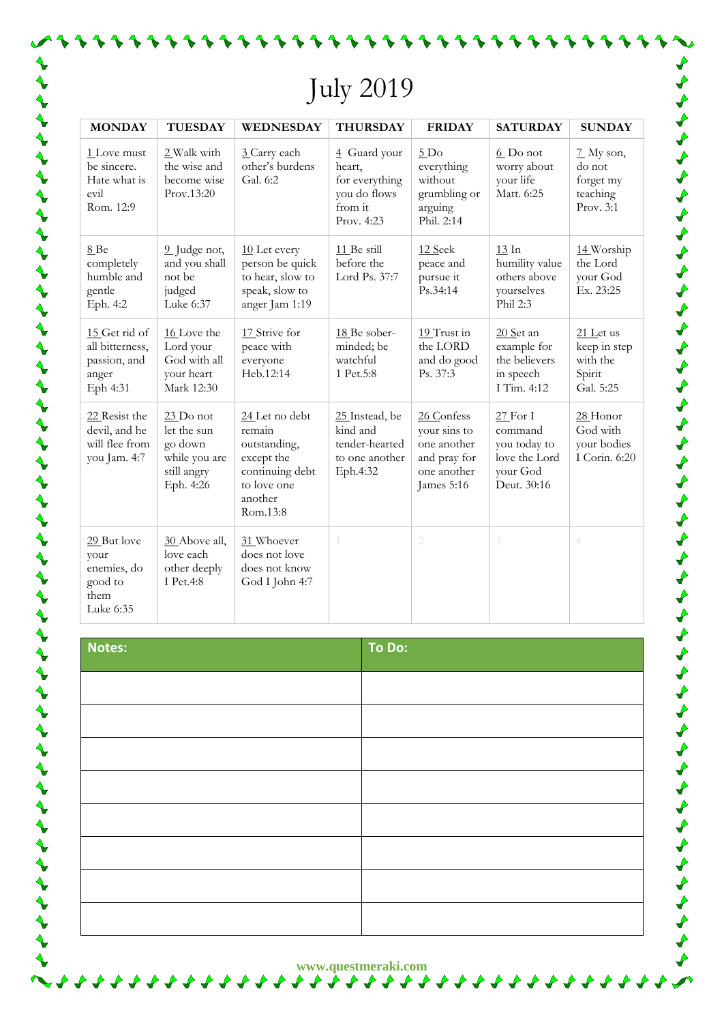## July 2019

| <b>MONDAY</b>                                                         | <b>TUESDAY</b>                                                                     | <b>WEDNESDAY</b>                                                                                                | <b>THURSDAY</b>                                                                   | <b>FRIDAY</b>                                                                          | <b>SATURDAY</b>                                                                   | <b>SUNDAY</b>                                                         |
|-----------------------------------------------------------------------|------------------------------------------------------------------------------------|-----------------------------------------------------------------------------------------------------------------|-----------------------------------------------------------------------------------|----------------------------------------------------------------------------------------|-----------------------------------------------------------------------------------|-----------------------------------------------------------------------|
| 1 Love must<br>be sincere.<br>Hate what is<br>evil<br>Rom. 12:9       | 2 Walk with<br>the wise and<br>become wise<br>Prov.13:20                           | 3 Carry each<br>other's burdens<br>Gal. 6:2                                                                     | 4 Guard your<br>heart,<br>for everything<br>you do flows<br>from it<br>Prov. 4:23 | 5D <sub>o</sub><br>everything<br>without<br>grumbling or<br>arguing<br>Phil. 2:14      | $6$ Do not<br>worry about<br>your life<br>Matt. 6:25                              | $\frac{7}{2}$ My son,<br>do not<br>forget my<br>teaching<br>Prov. 3:1 |
| 8Be<br>completely<br>humble and<br>gentle<br>Eph. 4:2                 | 9 Judge not,<br>and you shall<br>not be<br>judged<br>Luke 6:37                     | 10 Let every<br>person be quick<br>to hear, slow to<br>speak, slow to<br>anger Jam 1:19                         | 11 Be still<br>before the<br>Lord Ps. 37:7                                        | 12 Seek<br>peace and<br>pursue it<br>Ps.34:14                                          | $13 \ln$<br>humility value<br>others above<br>yourselves<br>Phil 2:3              | 14 Worship<br>the Lord<br>your God<br>Ex. 23:25                       |
| 15 Get rid of<br>all bitterness,<br>passion, and<br>anger<br>Eph 4:31 | 16 Love the<br>Lord your<br>God with all<br>your heart<br>Mark 12:30               | 17 Strive for<br>peace with<br>everyone<br>Heb.12:14                                                            | 18 Be sober-<br>minded; be<br>watchful<br>1 Pet.5:8                               | 19 Trust in<br>the LORD<br>and do good<br>Ps. 37:3                                     | 20 Set an<br>example for<br>the believers<br>in speech<br>I Tim. 4:12             | 21 Let us<br>keep in step<br>with the<br>Spirit<br>Gal. 5:25          |
| 22 Resist the<br>devil, and he<br>will flee from<br>you Jam. 4:7      | $23$ Do not<br>let the sun<br>go down<br>while you are<br>still angry<br>Eph. 4:26 | 24 Let no debt<br>remain<br>outstanding,<br>except the<br>continuing debt<br>to love one<br>another<br>Rom.13:8 | 25 Instead, be<br>kind and<br>tender-hearted<br>to one another<br>Eph.4:32        | 26 Confess<br>your sins to<br>one another<br>and pray for<br>one another<br>James 5:16 | $27$ For I<br>command<br>you today to<br>love the Lord<br>your God<br>Deut. 30:16 | $28$ Honor<br>God with<br>your bodies<br>I Corin. 6:20                |
| 29 But love<br>your<br>enemies, do<br>good to<br>them<br>Luke 6:35    | 30 Above all,<br>love each<br>other deeply<br>I Pet.4:8                            | 31 Whoever<br>does not love<br>does not know<br>God I John 4:7                                                  | 1                                                                                 | $\overline{2}$                                                                         | $\beta$                                                                           | $\overline{4}$                                                        |

くちょう ちょうちょう ちょうしょう ちょうしょう ちょうしょう しょうしょう ちょうしょう ちょうしょう しょう

| Notes: | To Do: |
|--------|--------|
|        |        |
|        |        |
|        |        |
|        |        |
|        |        |
|        |        |
|        |        |
|        |        |

**www.questmeraki.com**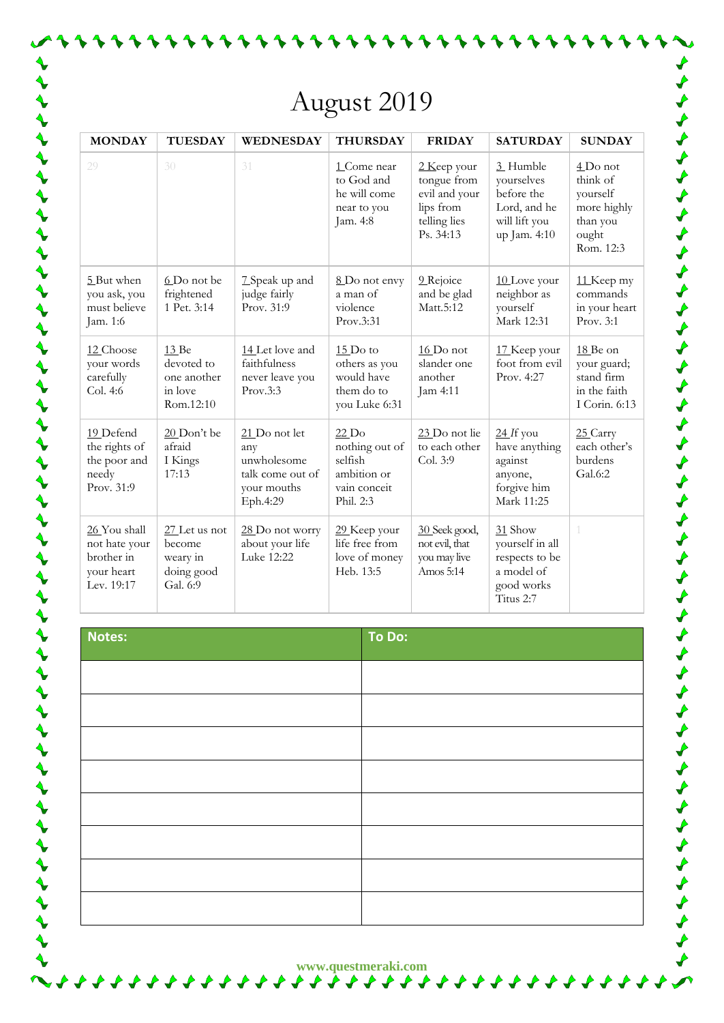## August 2019

| <b>MONDAY</b>                                                           | <b>TUESDAY</b>                                                  | WEDNESDAY                                                                          | <b>THURSDAY</b>                                                                                   | <b>FRIDAY</b>                                                                         | <b>SATURDAY</b>                                                                       | <b>SUNDAY</b>                                                                       |
|-------------------------------------------------------------------------|-----------------------------------------------------------------|------------------------------------------------------------------------------------|---------------------------------------------------------------------------------------------------|---------------------------------------------------------------------------------------|---------------------------------------------------------------------------------------|-------------------------------------------------------------------------------------|
| 29                                                                      | 30                                                              | 31                                                                                 | 1 Come near<br>to God and<br>he will come<br>near to you<br>Jam. 4:8                              | 2 Keep your<br>tongue from<br>evil and your<br>lips from<br>telling lies<br>Ps. 34:13 | 3 Humble<br>yourselves<br>before the<br>Lord, and he<br>will lift you<br>up Jam. 4:10 | $4$ Do not<br>think of<br>yourself<br>more highly<br>than you<br>ought<br>Rom. 12:3 |
| 5 But when<br>you ask, you<br>must believe<br>Jam. 1:6                  | 6 Do not be<br>frightened<br>1 Pet. 3:14                        | 7 Speak up and<br>judge fairly<br>Prov. 31:9                                       | 8 Do not envy<br>a man of<br>violence<br>Prov.3:31                                                | 9 Rejoice<br>and be glad<br>Matt.5:12                                                 | 10 Love your<br>neighbor as<br>yourself<br>Mark 12:31                                 | 11 Keep my<br>commands<br>in your heart<br>Prov. 3:1                                |
| 12 Choose<br>your words<br>carefully<br>Col. 4:6                        | 13 Be<br>devoted to<br>one another<br>in love<br>Rom.12:10      | 14 Let love and<br>faithfulness<br>never leave you<br>Prov.3:3                     | $15$ Do to<br>others as you<br>would have<br>them do to<br>you Luke 6:31                          | 16 Do not<br>slander one<br>another<br>Jam 4:11                                       | 17 Keep your<br>foot from evil<br>Prov. 4:27                                          | 18 Be on<br>your guard;<br>stand firm<br>in the faith<br>I Corin. 6:13              |
| 19 Defend<br>the rights of<br>the poor and<br>needy<br>Prov. 31:9       | 20 Don't be<br>afraid<br>I Kings<br>17:13                       | 21 Do not let<br>any<br>unwholesome<br>talk come out of<br>your mouths<br>Eph.4:29 | $22$ Do<br>nothing out of<br>$\operatorname{selfish}$<br>ambition or<br>vain conceit<br>Phil. 2:3 | 23 Do not lie<br>to each other<br>Col. 3:9                                            | $24$ If you<br>have anything<br>against<br>anyone,<br>forgive him<br>Mark 11:25       | 25 Carry<br>each other's<br>burdens<br>Gal.6:2                                      |
| 26 You shall<br>not hate your<br>brother in<br>your heart<br>Lev. 19:17 | $27$ Let us not<br>become<br>weary in<br>doing good<br>Gal. 6:9 | 28 Do not worry<br>about your life<br>Luke 12:22                                   | 29 Keep your<br>life free from<br>love of money<br>Heb. 13:5                                      | 30 Seek good,<br>not evil, that<br>you may live<br>Amos 5:14                          | 31 Show<br>yourself in all<br>respects to be<br>a model of<br>good works<br>Titus 2:7 |                                                                                     |

じょうちょう ちょうちょう ちょうしょう しょうしょう しょうしょう しょうしょう ちょうしょう しょうしょ

**Notes: To Do:**

**www.questmeraki.com**